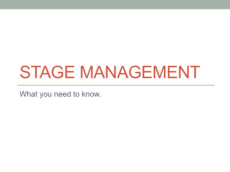# STAGE MANAGEMENT

What you need to know.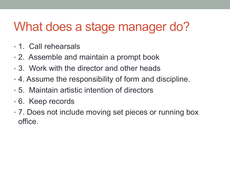# What does a stage manager do?

- 1. Call rehearsals
- 2. Assemble and maintain a prompt book
- 3. Work with the director and other heads
- 4. Assume the responsibility of form and discipline.
- 5. Maintain artistic intention of directors
- 6. Keep records
- 7. Does not include moving set pieces or running box office.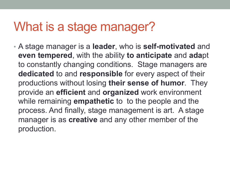### What is a stage manager?

• A stage manager is a **leader**, who is **self-motivated** and **even tempered**, with the ability **to anticipate** and **ada**pt to constantly changing conditions. Stage managers are **dedicated** to and **responsible** for every aspect of their productions without losing **their sense of humor**. They provide an **efficient** and **organized** work environment while remaining **empathetic** to to the people and the process. And finally, stage management is art. A stage manager is as **creative** and any other member of the production.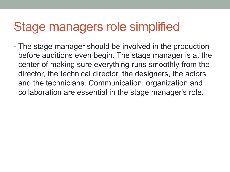### Stage managers role simplified

• The stage manager should be involved in the production before auditions even begin. The stage manager is at the center of making sure everything runs smoothly from the director, the technical director, the designers, the actors and the technicians. Communication, organization and collaboration are essential in the stage manager's role.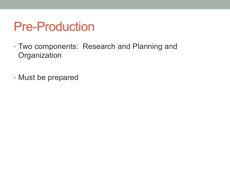### Pre-Production

- Two components: Research and Planning and **Organization**
- Must be prepared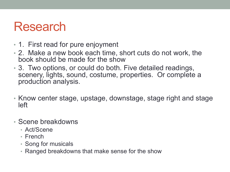#### Research

- 1. First read for pure enjoyment
- 2. Make a new book each time, short cuts do not work, the book should be made for the show
- 3. Two options, or could do both. Five detailed readings, scenery, lights, sound, costume, properties. Or complete a production analysis.
- Know center stage, upstage, downstage, stage right and stage left
- Scene breakdowns
	- Act/Scene
	- French
	- Song for musicals
	- Ranged breakdowns that make sense for the show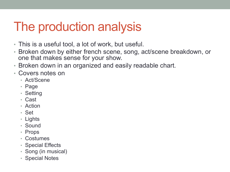### The production analysis

- This is a useful tool, a lot of work, but useful.
- Broken down by either french scene, song, act/scene breakdown, or one that makes sense for your show.
- Broken down in an organized and easily readable chart.
- Covers notes on
	- Act/Scene
	- Page
	- Setting
	- Cast
	- Action
	- Set
	- Lights
	- Sound
	- Props
	- Costumes
	- Special Effects
	- Song (in musical)
	- Special Notes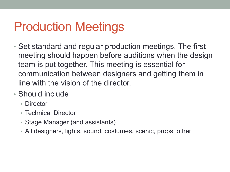# Production Meetings

- Set standard and regular production meetings. The first meeting should happen before auditions when the design team is put together. This meeting is essential for communication between designers and getting them in line with the vision of the director.
- Should include
	- Director
	- Technical Director
	- Stage Manager (and assistants)
	- All designers, lights, sound, costumes, scenic, props, other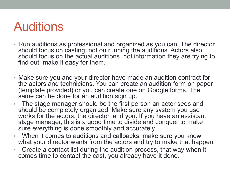### **Auditions**

- Run auditions as professional and organized as you can. The director should focus on casting, not on running the auditions. Actors also should focus on the actual auditions, not information they are trying to find out, make it easy for them.
- Make sure you and your director have made an audition contract for the actors and technicians. You can create an audition form on paper (template provided) or you can create one on Google forms. The same can be done for an audition sign up.
- The stage manager should be the first person an actor sees and should be completely organized. Make sure any system you use works for the actors, the director, and you. If you have an assistant stage manager, this is a good time to divide and conquer to make sure everything is done smoothly and accurately.
- When it comes to auditions and callbacks, make sure you know what your director wants from the actors and try to make that happen.
- Create a contact list during the audition process, that way when it comes time to contact the cast, you already have it done.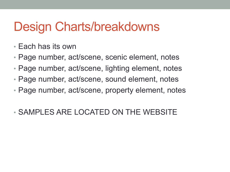### Design Charts/breakdowns

- Each has its own
- Page number, act/scene, scenic element, notes
- Page number, act/scene, lighting element, notes
- Page number, act/scene, sound element, notes
- Page number, act/scene, property element, notes
- SAMPLES ARE LOCATED ON THE WEBSITE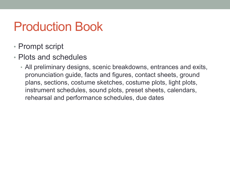### Production Book

- Prompt script
- Plots and schedules
	- All preliminary designs, scenic breakdowns, entrances and exits, pronunciation guide, facts and figures, contact sheets, ground plans, sections, costume sketches, costume plots, light plots, instrument schedules, sound plots, preset sheets, calendars, rehearsal and performance schedules, due dates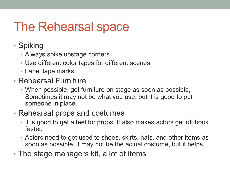# The Rehearsal space

- Spiking
	- Always spike upstage corners
	- Use different color tapes for different scenes
	- Label tape marks
- Rehearsal Furniture
	- When possible, get furniture on stage as soon as possible, Sometimes it may not be what you use, but it is good to put someone in place.
- Rehearsal props and costumes
	- It is good to get a feel for props. It also makes actors get off book faster.
	- Actors need to get used to shoes, skirts, hats, and other items as soon as possible, it may not be the actual costume, but it helps.
- The stage managers kit, a lot of items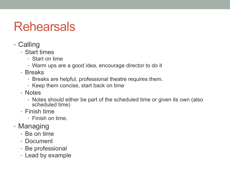# Rehearsals

- Calling
	- Start times
		- Start on time
		- Warm ups are a good idea, encourage director to do it
	- Breaks
		- Breaks are helpful, professional theatre requires them.
		- Keep them concise, start back on time
	- Notes
		- Notes should either be part of the scheduled time or given its own (also scheduled time)
	- Finish time
		- Finish on time.
- Managing
	- Be on time
	- Document
	- Be professional
	- Lead by example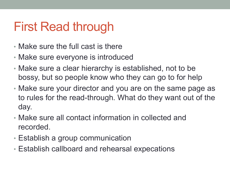# First Read through

- Make sure the full cast is there
- Make sure everyone is introduced
- Make sure a clear hierarchy is established, not to be bossy, but so people know who they can go to for help
- Make sure your director and you are on the same page as to rules for the read-through. What do they want out of the day.
- Make sure all contact information in collected and recorded.
- Establish a group communication
- Establish callboard and rehearsal expecations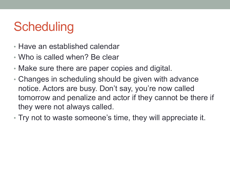# **Scheduling**

- Have an established calendar
- Who is called when? Be clear
- Make sure there are paper copies and digital.
- Changes in scheduling should be given with advance notice. Actors are busy. Don't say, you're now called tomorrow and penalize and actor if they cannot be there if they were not always called.
- Try not to waste someone's time, they will appreciate it.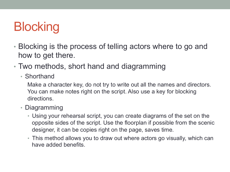# **Blocking**

- Blocking is the process of telling actors where to go and how to get there.
- Two methods, short hand and diagramming
	- Shorthand

Make a character key, do not try to write out all the names and directors. You can make notes right on the script. Also use a key for blocking directions.

- Diagramming
	- Using your rehearsal script, you can create diagrams of the set on the opposite sides of the script. Use the floorplan if possible from the scenic designer, it can be copies right on the page, saves time.
	- This method allows you to draw out where actors go visually, which can have added benefits.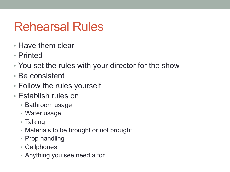# Rehearsal Rules

- Have them clear
- Printed
- You set the rules with your director for the show
- Be consistent
- Follow the rules yourself
- Establish rules on
	- Bathroom usage
	- Water usage
	- Talking
	- Materials to be brought or not brought
	- Prop handling
	- Cellphones
	- Anything you see need a for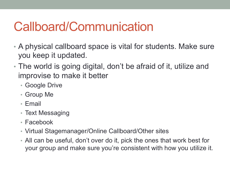# Callboard/Communication

- A physical callboard space is vital for students. Make sure you keep it updated.
- The world is going digital, don't be afraid of it, utilize and improvise to make it better
	- Google Drive
	- Group Me
	- Email
	- Text Messaging
	- Facebook
	- Virtual Stagemanager/Online Callboard/Other sites
	- All can be useful, don't over do it, pick the ones that work best for your group and make sure you're consistent with how you utilize it.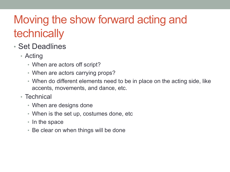### Moving the show forward acting and technically

- Set Deadlines
	- Acting
		- When are actors off script?
		- When are actors carrying props?
		- When do different elements need to be in place on the acting side, like accents, movements, and dance, etc.
	- Technical
		- When are designs done
		- When is the set up, costumes done, etc
		- In the space
		- Be clear on when things will be done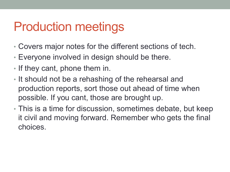### Production meetings

- Covers major notes for the different sections of tech.
- Everyone involved in design should be there.
- If they cant, phone them in.
- It should not be a rehashing of the rehearsal and production reports, sort those out ahead of time when possible. If you cant, those are brought up.
- This is a time for discussion, sometimes debate, but keep it civil and moving forward. Remember who gets the final choices.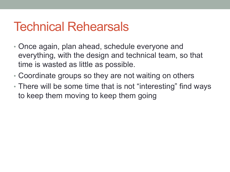### Technical Rehearsals

- Once again, plan ahead, schedule everyone and everything, with the design and technical team, so that time is wasted as little as possible.
- Coordinate groups so they are not waiting on others
- There will be some time that is not "interesting" find ways to keep them moving to keep them going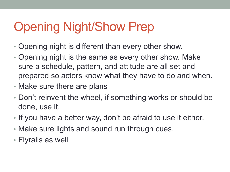# Opening Night/Show Prep

- Opening night is different than every other show.
- Opening night is the same as every other show. Make sure a schedule, pattern, and attitude are all set and prepared so actors know what they have to do and when.
- Make sure there are plans
- Don't reinvent the wheel, if something works or should be done, use it.
- If you have a better way, don't be afraid to use it either.
- Make sure lights and sound run through cues.
- Flyrails as well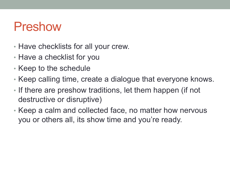### Preshow

- Have checklists for all your crew.
- Have a checklist for you
- Keep to the schedule
- Keep calling time, create a dialogue that everyone knows.
- If there are preshow traditions, let them happen (if not destructive or disruptive)
- Keep a calm and collected face, no matter how nervous you or others all, its show time and you're ready.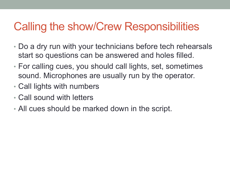#### Calling the show/Crew Responsibilities

- Do a dry run with your technicians before tech rehearsals start so questions can be answered and holes filled.
- For calling cues, you should call lights, set, sometimes sound. Microphones are usually run by the operator.
- Call lights with numbers
- Call sound with letters
- All cues should be marked down in the script.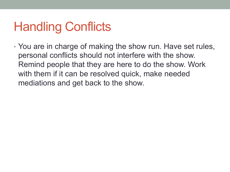# Handling Conflicts

• You are in charge of making the show run. Have set rules, personal conflicts should not interfere with the show. Remind people that they are here to do the show. Work with them if it can be resolved quick, make needed mediations and get back to the show.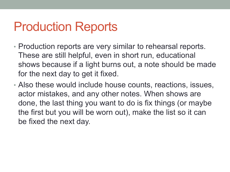### Production Reports

- Production reports are very similar to rehearsal reports. These are still helpful, even in short run, educational shows because if a light burns out, a note should be made for the next day to get it fixed.
- Also these would include house counts, reactions, issues, actor mistakes, and any other notes. When shows are done, the last thing you want to do is fix things (or maybe the first but you will be worn out), make the list so it can be fixed the next day.